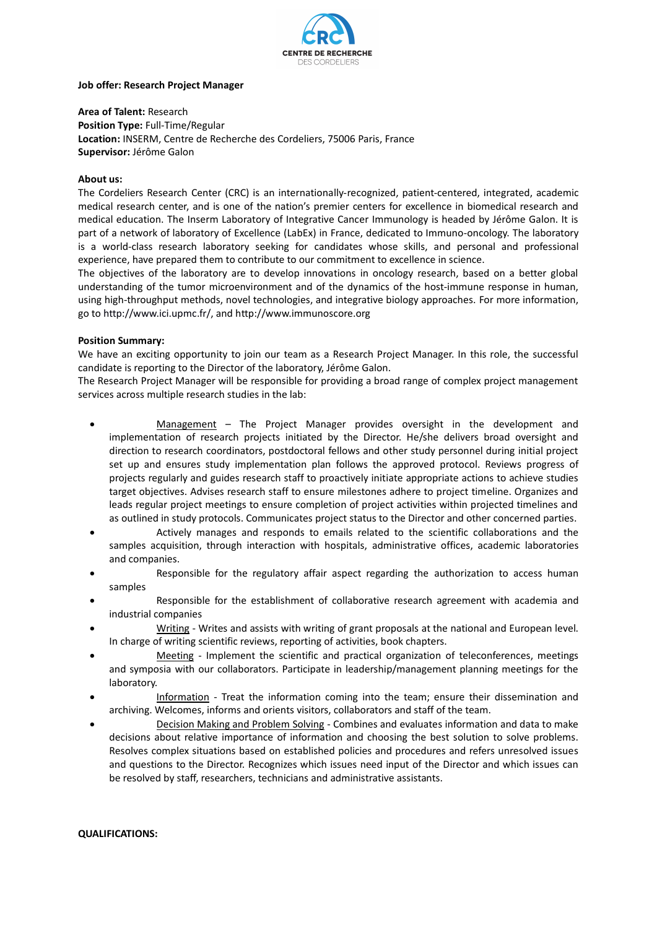

#### **Job offer: Research Project Manager**

**Area of Talent:** Research **Position Type:** Full-Time/Regular **Location:** INSERM, Centre de Recherche des Cordeliers, 75006 Paris, France **Supervisor:** Jérôme Galon

## **About us:**

The Cordeliers Research Center (CRC) is an internationally-recognized, patient-centered, integrated, academic medical research center, and is one of the nation's premier centers for excellence in biomedical research and medical education. The Inserm Laboratory of Integrative Cancer Immunology is headed by Jérôme Galon. It is part of a network of laboratory of Excellence (LabEx) in France, dedicated to Immuno-oncology. The laboratory is a world-class research laboratory seeking for candidates whose skills, and personal and professional experience, have prepared them to contribute to our commitment to excellence in science.

The objectives of the laboratory are to develop innovations in oncology research, based on a better global understanding of the tumor microenvironment and of the dynamics of the host-immune response in human, using high-throughput methods, novel technologies, and integrative biology approaches. For more information, go to [http://www.ici.upmc.fr/,](http://www.ici.upmc.fr/) and http://www.immunoscore.org

# **Position Summary:**

We have an exciting opportunity to join our team as a Research Project Manager. In this role, the successful candidate is reporting to the Director of the laboratory, Jérôme Galon.

The Research Project Manager will be responsible for providing a broad range of complex project management services across multiple research studies in the lab:

- Management The Project Manager provides oversight in the development and implementation of research projects initiated by the Director. He/she delivers broad oversight and direction to research coordinators, postdoctoral fellows and other study personnel during initial project set up and ensures study implementation plan follows the approved protocol. Reviews progress of projects regularly and guides research staff to proactively initiate appropriate actions to achieve studies target objectives. Advises research staff to ensure milestones adhere to project timeline. Organizes and leads regular project meetings to ensure completion of project activities within projected timelines and as outlined in study protocols. Communicates project status to the Director and other concerned parties.
- Actively manages and responds to emails related to the scientific collaborations and the samples acquisition, through interaction with hospitals, administrative offices, academic laboratories and companies.
- Responsible for the regulatory affair aspect regarding the authorization to access human samples
- Responsible for the establishment of collaborative research agreement with academia and industrial companies
- Writing Writes and assists with writing of grant proposals at the national and European level. In charge of writing scientific reviews, reporting of activities, book chapters.
- Meeting Implement the scientific and practical organization of teleconferences, meetings and symposia with our collaborators. Participate in leadership/management planning meetings for the laboratory.
- Information Treat the information coming into the team; ensure their dissemination and archiving. Welcomes, informs and orients visitors, collaborators and staff of the team.
- Decision Making and Problem Solving Combines and evaluates information and data to make decisions about relative importance of information and choosing the best solution to solve problems. Resolves complex situations based on established policies and procedures and refers unresolved issues and questions to the Director. Recognizes which issues need input of the Director and which issues can be resolved by staff, researchers, technicians and administrative assistants.

#### **QUALIFICATIONS:**